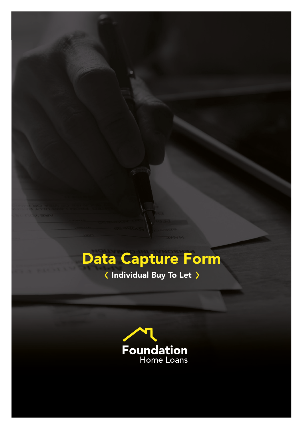# Data Capture Form

K Individual Buy To Let >

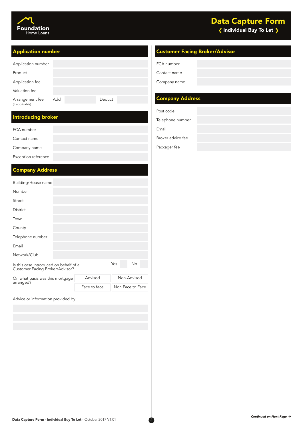

| Application number                 |     |        |
|------------------------------------|-----|--------|
| Product                            |     |        |
| Application fee                    |     |        |
| Valuation fee                      |     |        |
| Arrangement fee<br>(if applicable) | Add | Deduct |

## Introducing broker

| FCA number          |  |
|---------------------|--|
| Contact name        |  |
| Company name        |  |
| Exception reference |  |

## Company Address

| Building/House name |  |
|---------------------|--|
|                     |  |

| Number                                                                    |  |     |           |  |
|---------------------------------------------------------------------------|--|-----|-----------|--|
| Street                                                                    |  |     |           |  |
| District                                                                  |  |     |           |  |
| Town                                                                      |  |     |           |  |
| County                                                                    |  |     |           |  |
| Telephone number                                                          |  |     |           |  |
| Email                                                                     |  |     |           |  |
| Network/Club                                                              |  |     |           |  |
| Is this case introduced on behalf of a<br>Customer Facing Broker/Advisor? |  | Yes | <b>No</b> |  |

| On what basis was this mortgage<br>arranged? | Advised      | Non-Advised      |
|----------------------------------------------|--------------|------------------|
|                                              | Face to face | Non Face to Face |

Advice or information provided by

## Application number Customer Facing Broker/Advisor

FCA number

Contact name

Company name

# Company Address

Telephone number

Email

Broker advice fee

Packager fee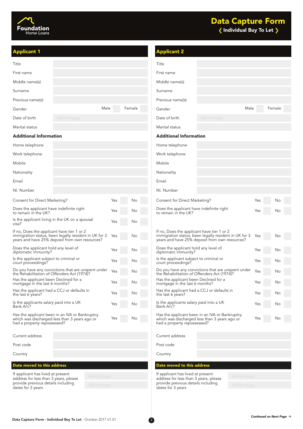

| <b>Applicant 1</b>                                                                                                                                    |      |        | <b>Applicant 2</b>                                                                                                                                    |            |      |        |
|-------------------------------------------------------------------------------------------------------------------------------------------------------|------|--------|-------------------------------------------------------------------------------------------------------------------------------------------------------|------------|------|--------|
| Title                                                                                                                                                 |      |        | Title                                                                                                                                                 |            |      |        |
| First name                                                                                                                                            |      |        | First name                                                                                                                                            |            |      |        |
| Middle name(s)                                                                                                                                        |      |        | Middle name(s)                                                                                                                                        |            |      |        |
| Surname                                                                                                                                               |      |        | Surname                                                                                                                                               |            |      |        |
| Previous name(s)                                                                                                                                      |      |        | Previous name(s)                                                                                                                                      |            |      |        |
| Gender                                                                                                                                                | Male | Female | Gender                                                                                                                                                |            | Male | Female |
| Date of birth<br>dd/mm/yyyy                                                                                                                           |      |        | Date of birth                                                                                                                                         | dd/mm/yyyy |      |        |
| Marital status                                                                                                                                        |      |        | Marital status                                                                                                                                        |            |      |        |
| <b>Additional Information</b>                                                                                                                         |      |        | <b>Additional Information</b>                                                                                                                         |            |      |        |
| Home telephone                                                                                                                                        |      |        | Home telephone                                                                                                                                        |            |      |        |
| Work telephone                                                                                                                                        |      |        | Work telephone                                                                                                                                        |            |      |        |
| Mobile                                                                                                                                                |      |        | Mobile                                                                                                                                                |            |      |        |
| Nationality                                                                                                                                           |      |        | Nationality                                                                                                                                           |            |      |        |
| Email                                                                                                                                                 |      |        | Email                                                                                                                                                 |            |      |        |
| NI. Number                                                                                                                                            |      |        | NI. Number                                                                                                                                            |            |      |        |
| Consent for Direct Marketing?                                                                                                                         | Yes  | No     | Consent for Direct Marketing?                                                                                                                         |            | Yes  | No     |
| Does the applicant have indefinite right<br>to remain in the UK?                                                                                      | Yes  | No     | Does the applicant have indefinite right<br>to remain in the UK?                                                                                      |            | Yes  | No     |
| Is the applicant living in the UK on a spousal<br>visa?                                                                                               | Yes  | No     |                                                                                                                                                       |            |      |        |
| If no, Does the applicant have tier 1 or 2<br>immigration status, been legally resident in UK for 3<br>years and have 25% deposit from own resources? | Yes  | No     | If no, Does the applicant have tier 1 or 2<br>immigration status, been legally resident in UK for 3<br>years and have 25% deposit from own resources? |            | Yes  | No     |
| Does the applicant hold any level of<br>diplomatic immunity?                                                                                          | Yes  | No     | Does the applicant hold any level of<br>diplomatic immunity?                                                                                          |            | Yes  | No     |
| Is the applicant subject to criminal or<br>court proceedings?                                                                                         | Yes  | No     | Is the applicant subject to criminal or<br>court proceedings?                                                                                         |            | Yes  | No     |
| Do you have any convictions that are unspent under<br>the Rehabilitation of Offenders Act (1974)?                                                     | Yes  | No     | Do you have any convictions that are unspent under<br>the Rehabilitation of Offenders Act (1974)?                                                     |            | Yes  | No     |
| Has the applicant been Declined for a<br>mortgage in the last 6 months?                                                                               | Yes  | No     | Has the applicant been Declined for a<br>mortgage in the last 6 months?                                                                               |            | Yes  | No     |
| Has the applicant had a CCJ or defaults in<br>the last 6 years?                                                                                       | Yes  | No     | Has the applicant had a CCJ or defaults in<br>the last 6 years?                                                                                       |            | Yes  | No     |
| Is the applicants salary paid into a UK<br>Bank A/c?                                                                                                  | Yes  | No     | Is the applicants salary paid into a UK<br>Bank A/c?                                                                                                  |            | Yes  | No     |
| Has the applicant been in an IVA or Bankruptcy<br>which was discharged less than 3 years ago or<br>had a property repossessed?                        | Yes  | No     | Has the applicant been in an IVA or Bankruptcy<br>which was discharged less than 3 years ago or<br>had a property repossessed?                        |            | Yes  | No     |
| Current address                                                                                                                                       |      |        | Current address                                                                                                                                       |            |      |        |
| Post code                                                                                                                                             |      |        | Post code                                                                                                                                             |            |      |        |
| Country                                                                                                                                               |      |        | Country                                                                                                                                               |            |      |        |
| Date moved to this address                                                                                                                            |      |        | Date moved to this address                                                                                                                            |            |      |        |
| If applicant has lived at present<br>dd/mm/yyyy                                                                                                       |      |        | If applicant has lived at present                                                                                                                     | dd/mm/yyyy |      |        |
| address for less than 3 years, please<br>provide previous details including<br>dd/mm/yyyy                                                             |      |        | address for less than 3 years, please<br>provide previous details including                                                                           | dd/mm/yyyy |      |        |
| dates for 3 years                                                                                                                                     |      |        | dates for 3 years                                                                                                                                     |            |      |        |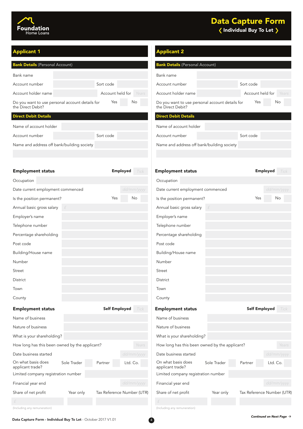

| <b>Bank Details (Personal Account)</b> |                                                 | <b>Bank Details (Personal Account)</b> |       |                                                                      |  |           |
|----------------------------------------|-------------------------------------------------|----------------------------------------|-------|----------------------------------------------------------------------|--|-----------|
| Bank name                              |                                                 |                                        |       | Bank name                                                            |  |           |
| Account number                         |                                                 | Sort code                              |       | Account number                                                       |  | Sort code |
| Account holder name                    |                                                 | Account held for                       | Years | Account holder name                                                  |  | Accour    |
| the Direct Debit?                      | Do you want to use personal account details for | Yes<br>No.                             |       | Do you want to use personal account details for<br>the Direct Debit? |  | Y         |
| <b>Direct Debit Details</b>            |                                                 |                                        |       | <b>Direct Debit Details</b>                                          |  |           |
| Name of account holder                 |                                                 |                                        |       | Name of account holder                                               |  |           |

Sort code

Account number

Name and address off bank/building society

## **Applicant 1** Applicant 2 Applicant 2 Applicant 2 Applicant 2 Applicant 2 Applicant 2 Applicant 2 Applicant 2 Applicant 2 Applicant 2 Applicant 2 Applicant 2 Applicant 2 Applicant 2 Applicant 2 Applicant 2 Applicant 2 Appl

|                           | <b>Bank Details</b> (Personal Account)                               |                  |       |
|---------------------------|----------------------------------------------------------------------|------------------|-------|
|                           | Bank name                                                            |                  |       |
| <sub>rt code</sub>        | Account number                                                       | Sort code        |       |
| Account held for<br>Years | Account holder name                                                  | Account held for | Years |
| Yes<br><b>No</b>          | Do you want to use personal account details for<br>the Direct Debit? | <b>Yes</b>       | No.   |
|                           | <b>Direct Debit Details</b>                                          |                  |       |
|                           | Name of account holder                                               |                  |       |
| <sub>rt code</sub>        | Account number                                                       | Sort code        |       |
|                           | Name and address off bank/building society                           |                  |       |

| <b>Employment status</b>                       |             |                            | <b>Employed</b> | Tick       | <b>Employment status</b>               |                                                |                          | <b>Employed</b> | Tick  |
|------------------------------------------------|-------------|----------------------------|-----------------|------------|----------------------------------------|------------------------------------------------|--------------------------|-----------------|-------|
| Occupation                                     |             |                            |                 |            | Occupation                             |                                                |                          |                 |       |
| Date current employment commenced              |             |                            |                 | dd/mm/yyyy |                                        | Date current employment commenced              |                          | dd/mm/yyyy      |       |
| Is the position permanent?                     |             | Yes                        |                 | No         | Is the position permanent?             |                                                | Yes                      |                 | No    |
| Annual basic gross salary                      |             |                            |                 |            | Annual basic gross salary              |                                                |                          |                 |       |
| Employer's name                                |             |                            |                 |            | Employer's name                        |                                                |                          |                 |       |
| Telephone number                               |             |                            |                 |            | Telephone number                       |                                                |                          |                 |       |
| Percentage shareholding                        |             |                            |                 |            | Percentage shareholding                |                                                |                          |                 |       |
| Post code                                      |             |                            |                 |            | Post code                              |                                                |                          |                 |       |
| Building/House name                            |             |                            |                 |            | Building/House name                    |                                                |                          |                 |       |
| Number                                         |             |                            |                 |            | Number                                 |                                                |                          |                 |       |
| Street                                         |             |                            |                 |            | <b>Street</b>                          |                                                |                          |                 |       |
| District                                       |             |                            |                 |            | District                               |                                                |                          |                 |       |
| Town                                           |             |                            |                 |            | Town                                   |                                                |                          |                 |       |
| County                                         |             |                            |                 |            | County                                 |                                                |                          |                 |       |
| <b>Employment status</b>                       |             | <b>Self Employed</b>       |                 | Tick       | <b>Employment status</b>               |                                                | <b>Self Employed</b>     |                 | Tick  |
| Name of business                               |             |                            |                 |            | Name of business                       |                                                |                          |                 |       |
| Nature of business                             |             |                            |                 |            | Nature of business                     |                                                |                          |                 |       |
| What is your shareholding?                     |             |                            |                 |            | What is your shareholding?             |                                                |                          |                 |       |
| How long has this been owned by the applicant? |             |                            |                 | Years      |                                        | How long has this been owned by the applicant? |                          |                 | Years |
| Date business started                          |             |                            |                 | dd/mm/yyyy | Date business started                  |                                                |                          | dd/mm/yyyy      |       |
| On what basis does<br>applicant trade?         | Sole Trader | Partner                    | Ltd. Co.        |            | On what basis does<br>applicant trade? | Sole Trader                                    | Partner                  | Ltd. Co.        |       |
| Limited company registration number            |             |                            |                 |            | Limited company registration number    |                                                |                          |                 |       |
| Financial year end                             |             |                            |                 | dd/mm/yyyy | Financial year end                     |                                                |                          | dd/mm/yyyy      |       |
| Share of net profit                            | Year only   | Tax Reference Number (UTR) |                 |            | Share of net profit                    | Year only                                      | Tax Reference Number (UT |                 |       |
|                                                |             |                            |                 |            |                                        |                                                |                          |                 |       |
| llocluding any ramunaration                    |             |                            |                 |            | Including any remuneration             |                                                |                          |                 |       |

# Post code Employer's name Employer's name Building/House name Telephone number Percentage shareholding Occupation Name of business What is your shareholding? Share of net profit Year only Tax Reference Number (UTR) Limited company registration number Sole Trader Partner Ltd. Co. On what basis does Sole Trader Partner Ltd. Co. applicant trade? Nature of business Employed Tick **Employment status and the Septimary Contract Contract Contract Contract Contract Contract Contract Tick**

(Including any remuneration) (Including any remuneration)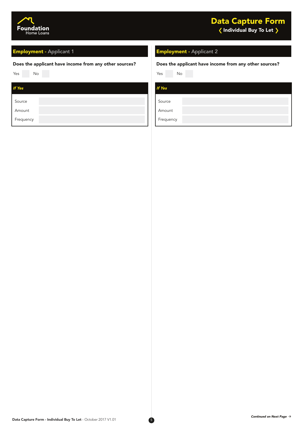

## Employment - Applicant 1 Employment - Applicant 2

#### Does the applicant have income from any other sources? Does the applicant have income from any other sources?

| No<br>Yes | Yes           |
|-----------|---------------|
| If Yes    | <b>If Yes</b> |
| Source    | Source        |
| Amount    | Amount        |
| Frequency | Frequency     |

Yes No Yes No

| If Yes    |  |  |
|-----------|--|--|
| Source    |  |  |
| Amount    |  |  |
| Frequency |  |  |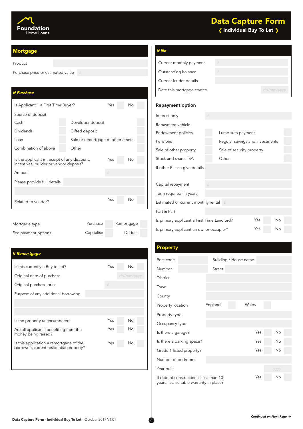

# Data Capture Form

 $\langle$  Individual Buy To Let  $\rangle$ 

#### **Mortgage**

#### Product

Purchase price or estimated value

## If Purchase

| Is Applicant 1 a First Time Buyer?                                                     |  | Yes                                |  | No               |  |  |
|----------------------------------------------------------------------------------------|--|------------------------------------|--|------------------|--|--|
| Source of deposit                                                                      |  |                                    |  |                  |  |  |
| Cash                                                                                   |  | Developer deposit                  |  |                  |  |  |
| Dividends                                                                              |  | Gifted deposit                     |  |                  |  |  |
| Loan                                                                                   |  | Sale or remortgage of other assets |  |                  |  |  |
| Combination of above                                                                   |  | Other                              |  |                  |  |  |
| Is the applicant in receipt of any discount,<br>incentives, builder or vendor deposit? |  | Yes                                |  | <b>No</b>        |  |  |
| Amount                                                                                 |  | f                                  |  |                  |  |  |
| Please provide full details                                                            |  |                                    |  |                  |  |  |
|                                                                                        |  |                                    |  |                  |  |  |
| Related to vendor?                                                                     |  | Yes                                |  | No               |  |  |
|                                                                                        |  |                                    |  |                  |  |  |
| $\blacksquare$                                                                         |  | $D$ $A - A - A$                    |  | D = == = == == = |  |  |

| Mortgage type       | Purchase   | Remortgage |
|---------------------|------------|------------|
| Fee payment options | Capitalise | Deduct     |

## If Remortgage

| Is this currently a Buy to Let?                               | Yes | Νo         |
|---------------------------------------------------------------|-----|------------|
| Original date of purchase                                     |     | dd/mm/yyyy |
| Original purchase price                                       | £   |            |
| Purpose of any additional borrowing                           |     |            |
|                                                               |     |            |
|                                                               |     |            |
| Is the property unencumbered                                  | Yes | No         |
| Are all applicants benefiting from the<br>money being raised? | Yes | No         |
| Is this application a remortgage of the                       | Yes | No         |
| borrowers current residential property?                       |     |            |

| lf No                      |            |            |
|----------------------------|------------|------------|
| Current monthly payment    | f          |            |
| Outstanding balance        | $\sqrt{2}$ |            |
| Current lender details     |            |            |
| Date this mortgage started |            | dd/mm/yyyy |

#### Repayment option

| Interest only                                      |   |                                 |  |  |  |
|----------------------------------------------------|---|---------------------------------|--|--|--|
| Repayment vehicle                                  |   |                                 |  |  |  |
| Endowment policies                                 |   | Lump sum payment                |  |  |  |
| Pensions                                           |   | Regular savings and investments |  |  |  |
| Sale of other property                             |   | Sale of security property       |  |  |  |
| Stock and shares ISA                               |   | Other                           |  |  |  |
| If other Please give details                       |   |                                 |  |  |  |
|                                                    |   |                                 |  |  |  |
| Capital repayment                                  | £ |                                 |  |  |  |
| Term required (in years)                           |   |                                 |  |  |  |
| Estimated or current monthly rental $f$            |   |                                 |  |  |  |
| Part & Part                                        |   |                                 |  |  |  |
| Yes<br>Is primary applicant a First Time Landlord? |   | No                              |  |  |  |
| Yes<br>Is primary applicant an owner occupier?     |   | No                              |  |  |  |

#### Property

| Post code                               |                           |               | Building / House name |      |  |
|-----------------------------------------|---------------------------|---------------|-----------------------|------|--|
| Number                                  |                           | <b>Street</b> |                       |      |  |
| District                                |                           |               |                       |      |  |
| Town                                    |                           |               |                       |      |  |
| County                                  |                           |               |                       |      |  |
| Property location                       |                           | England       | Wales                 |      |  |
| Property type                           |                           |               |                       |      |  |
| Occupancy type                          |                           |               |                       |      |  |
| Is there a garage?                      |                           |               | Yes                   | No   |  |
|                                         | Is there a parking space? |               | Yes                   | No   |  |
|                                         | Grade 1 listed property?  |               | Yes                   | No   |  |
| Number of bedrooms                      |                           |               |                       |      |  |
| Year built                              |                           |               |                       | уууу |  |
| If date of construction is less than 10 |                           |               | Yes                   | No   |  |

Data Capture Form - Individual Buy To Let - October 2017 V1.01

years, is a suitable warranty in place?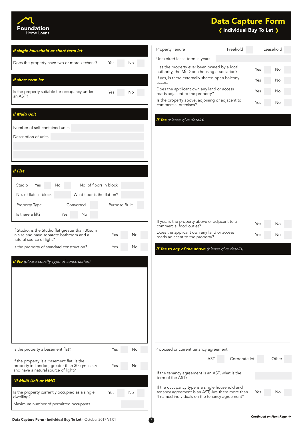

# $\langle$  Individual Buy To Let  $\rangle$ Data Capture Form

| If single household or short term let                                                                                                 | Property Tenure                                                                                     | Freehold      | Leasehold |
|---------------------------------------------------------------------------------------------------------------------------------------|-----------------------------------------------------------------------------------------------------|---------------|-----------|
| Does the property have two or more kitchens?<br>Yes<br>No.                                                                            | Unexpired lease term in years                                                                       |               |           |
|                                                                                                                                       | Has the property ever been owned by a local<br>authority, the MoD or a housing association?         |               | Yes<br>No |
| If short term let                                                                                                                     | If yes, is there externally shared open balcony<br>access                                           |               | Yes<br>No |
| Is the property suitable for occupancy under<br>Yes<br>No<br>an AST?                                                                  | Does the applicant own any land or access<br>roads adjacent to the property?                        |               | Yes<br>No |
|                                                                                                                                       | Is the property above, adjoining or adjacent to<br>commercial premises?                             |               | Yes<br>No |
| <b>If Multi Unit</b>                                                                                                                  | If Yes (please give details)                                                                        |               |           |
| Number of self-contained units                                                                                                        |                                                                                                     |               |           |
| Description of units                                                                                                                  |                                                                                                     |               |           |
|                                                                                                                                       |                                                                                                     |               |           |
|                                                                                                                                       |                                                                                                     |               |           |
|                                                                                                                                       |                                                                                                     |               |           |
| <b>If Flat</b>                                                                                                                        |                                                                                                     |               |           |
| No. of floors in block<br>Studio<br>Yes<br>No                                                                                         |                                                                                                     |               |           |
| What floor is the flat on?<br>No. of flats in block                                                                                   |                                                                                                     |               |           |
| Purpose Built<br>Property Type<br>Converted                                                                                           |                                                                                                     |               |           |
| Is there a lift?<br>Yes<br>No                                                                                                         |                                                                                                     |               |           |
|                                                                                                                                       | If yes, is the property above or adjacent to a<br>commercial food outlet?                           |               | Yes<br>No |
| If Studio, is the Studio flat greater than 30sqm<br>in size and have separate bathroom and a<br>Yes<br>No<br>natural source of light? | Does the applicant own any land or access<br>roads adjacent to the property?                        |               | Yes<br>No |
| Is the property of standard construction?<br>Yes<br>No                                                                                | If Yes to any of the above (please give details)                                                    |               |           |
| If No (please specify type of construction)                                                                                           |                                                                                                     |               |           |
|                                                                                                                                       |                                                                                                     |               |           |
|                                                                                                                                       |                                                                                                     |               |           |
|                                                                                                                                       |                                                                                                     |               |           |
|                                                                                                                                       |                                                                                                     |               |           |
|                                                                                                                                       |                                                                                                     |               |           |
|                                                                                                                                       |                                                                                                     |               |           |
|                                                                                                                                       |                                                                                                     |               |           |
|                                                                                                                                       |                                                                                                     |               |           |
| Is the property a basement flat?<br>Yes<br>No                                                                                         | Proposed or current tenancy agreement                                                               |               |           |
| If the property is a basement flat; is the                                                                                            | AST                                                                                                 | Corporate let | Other     |
| property in London, greater than 30sqm in size<br>Yes<br>No<br>and have a natural source of light?                                    |                                                                                                     |               |           |
| "If Multi Unit or HMO                                                                                                                 | If the tenancy agreement is an AST, what is the<br>term of the AST?                                 |               |           |
| Is the property currently occupied as a single<br>Yes<br>No                                                                           | If the occupancy type is a single household and<br>tenancy agreement is an AST; Are there more than |               | Yes       |
| dwelling?<br>Maximum number of permitted occupants                                                                                    | 4 named individuals on the tenancy agreement?                                                       |               |           |
|                                                                                                                                       |                                                                                                     |               |           |